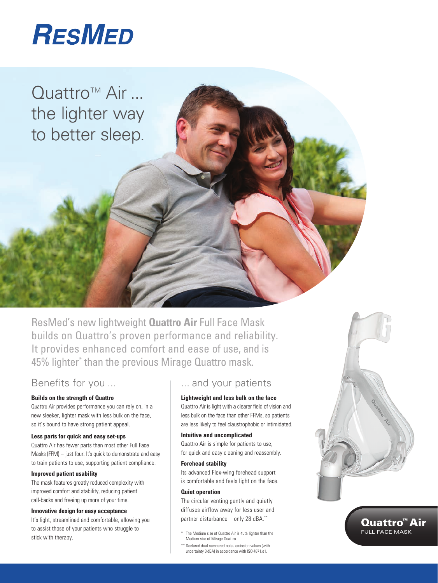

Quattro™ Air ... the lighter way to better sleep.

ResMed's new lightweight **Quattro Air** Full Face Mask builds on Quattro's proven performance and reliability. It provides enhanced comfort and ease of use, and is 45% lighter\* than the previous Mirage Quattro mask.

## Benefits for you ...

#### **Builds on the strength of Quattro**

Quattro Air provides performance you can rely on, in a new sleeker, lighter mask with less bulk on the face, so it's bound to have strong patient appeal.

#### **Less parts for quick and easy set-ups**

Quattro Air has fewer parts than most other Full Face Masks (FFM) – just four. It's quick to demonstrate and easy to train patients to use, supporting patient compliance.

#### **Improved patient usability**

The mask features greatly reduced complexity with improved comfort and stability, reducing patient call-backs and freeing up more of your time.

#### **Innovative design for easy acceptance**

It's light, streamlined and comfortable, allowing you to assist those of your patients who struggle to stick with therapy.

## ... and your patients

#### **Lightweight and less bulk on the face**

Quattro Air is light with a clearer field of vision and less bulk on the face than other FFMs, so patients are less likely to feel claustrophobic or intimidated.

#### **Intuitive and uncomplicated**

Quattro Air is simple for patients to use, for quick and easy cleaning and reassembly.

#### **Forehead stability**

Its advanced Flex-wing forehead support is comfortable and feels light on the face.

#### **Quiet operation**

The circular venting gently and quietly diffuses airflow away for less user and partner disturbance—only 28 dBA.\*\*

- \* The Medium size of Quattro Air is 45% lighter than the Medium size of Mirage Quattro.
- \*\* Declared dual numbered noise emission values (with uncertainty 3 dBA) in accordance with ISO 4871 e1.



### Quattro<sup>™</sup> Air **FULL FACE MASK**